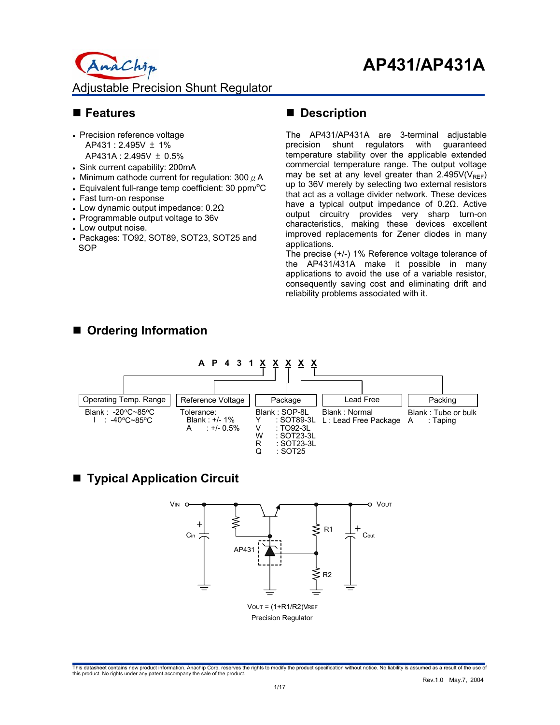InaChip Adjustable Precision Shunt Regulator

### **Features**

- Precision reference voltage AP431 : 2.495V ± 1% AP431A : 2.495V ± 0.5%
- Sink current capability: 200mA
- Minimum cathode current for regulation: 300  $\mu$  A
- Equivalent full-range temp coefficient: 30 ppm/°C
- Fast turn-on response
- Low dynamic output impedance: 0.2Ω
- Programmable output voltage to 36v
- Low output noise.
- Packages: TO92, SOT89, SOT23, SOT25 and **SOP**

### ■ Description

The AP431/AP431A are 3-terminal adjustable precision shunt regulators with guaranteed temperature stability over the applicable extended commercial temperature range. The output voltage may be set at any level greater than  $2.495V(V_{REF})$ up to 36V merely by selecting two external resistors that act as a voltage divider network. These devices have a typical output impedance of 0.2Ω. Active output circuitry provides very sharp turn-on characteristics, making these devices excellent improved replacements for Zener diodes in many applications.

The precise (+/-) 1% Reference voltage tolerance of the AP431/431A make it possible in many applications to avoid the use of a variable resistor, consequently saving cost and eliminating drift and reliability problems associated with it.

## **Ordering Information**



## ■ Typical Application Circuit

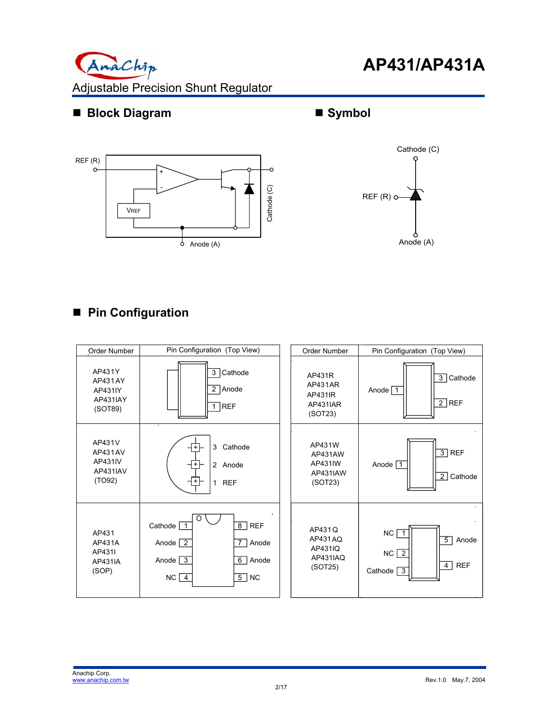

## ■ **Block Diagram**



## **Symbol**



# **Pin Configuration**

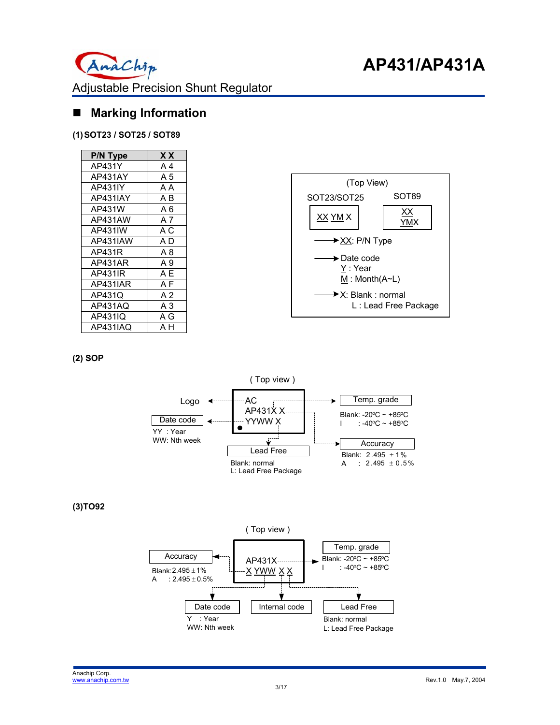## **Marking Information**

#### **(1) SOT23 / SOT25 / SOT89**

| P/N Type | X X |
|----------|-----|
| AP431Y   | A 4 |
| AP431AY  | A 5 |
| AP431IY  | ΑA  |
| AP431IAY | ΑB  |
| AP431W   | A 6 |
| AP431AW  | A 7 |
| AP431IW  | ΑC  |
| AP431IAW | A D |
| AP431R   | A 8 |
| AP431AR  | A 9 |
| AP431IR  | AΕ  |
| AP431IAR | ΑF  |
| AP431Q   | A 2 |
| AP431AQ  | A 3 |
| AP431IQ  | A G |
| AP431IAQ | ΑН  |



#### **(2) SOP**



**(3)TO92** 

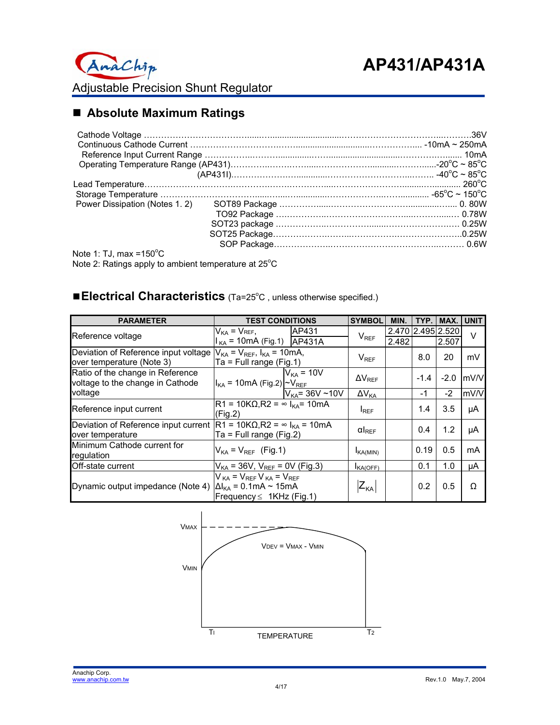## **Absolute Maximum Ratings**

| $\frac{1}{2}$ $\frac{1}{2}$ $\frac{1}{2}$ $\frac{1}{2}$ $\frac{1}{2}$ $\frac{1}{2}$ $\frac{1}{2}$ $\frac{1}{2}$ $\frac{1}{2}$ $\frac{1}{2}$ $\frac{1}{2}$ $\frac{1}{2}$ $\frac{1}{2}$ $\frac{1}{2}$ $\frac{1}{2}$ $\frac{1}{2}$ $\frac{1}{2}$ $\frac{1}{2}$ $\frac{1}{2}$ $\frac{1}{2}$ $\frac{1}{2}$ $\frac{1}{2}$ |  |
|---------------------------------------------------------------------------------------------------------------------------------------------------------------------------------------------------------------------------------------------------------------------------------------------------------------------|--|

Note 1: TJ, max = $150^{\circ}$ C Note 2: Ratings apply to ambient temperature at  $25^{\circ}$ C

### **Electrical Characteristics** (Ta=25°C, unless otherwise specified.)

| <b>PARAMETER</b>                                                                                          | <b>TEST CONDITIONS</b>                                                                                       | <b>SYMBOL</b>       | MIN.                    | TYP. I | MAX.   | <b>UNIT</b>       |        |
|-----------------------------------------------------------------------------------------------------------|--------------------------------------------------------------------------------------------------------------|---------------------|-------------------------|--------|--------|-------------------|--------|
| Reference voltage                                                                                         | AP431<br>$V_{KA}$ = $V_{REF}$ ,                                                                              |                     | $V_{REF}$               |        |        | 2.470 2.495 2.520 | $\vee$ |
|                                                                                                           | $I_{KA}$ = 10mA (Fig.1) $AP431A$                                                                             |                     |                         | 2.482  |        | 2.507             |        |
| Deviation of Reference input voltage $ V_{KA} = V_{REF}$ , $I_{KA} = 10mA$ ,<br>over temperature (Note 3) | $Ta = Full range (Fig.1)$                                                                                    |                     | $V_{REF}$               |        | 8.0    | 20                | mV     |
| Ratio of the change in Reference<br>voltage to the change in Cathode                                      | $I_{KA}$ = 10mA (Fig.2) $\sim$ $V_{REF}$                                                                     | $V_{KA}$ = 10V      | $\Delta V_{REF}$        |        | $-1.4$ | $-2.0$            | mV/V   |
| voltage                                                                                                   |                                                                                                              | $V_{KA}$ = 36V ~10V | $\Delta V_{KA}$         |        | -1     | $-2$              | mV/V   |
| Reference input current                                                                                   | $R1 = 10KΩ, R2 = ∞ IKA = 10mA$<br>(Fig.2)                                                                    |                     | <b>IREF</b>             |        | 1.4    | 3.5               | μA     |
| Deviation of Reference input current $ R1 = 10K\Omega, R2 = \infty$ $I_{KA} = 10mA$<br>over temperature   | Ta = Full range (Fig.2)                                                                                      |                     | $\alpha$ <sub>REF</sub> |        | 0.4    | 1.2               | μA     |
| Minimum Cathode current for<br>regulation                                                                 | $V_{KA}$ = $V_{REF}$ (Fig.1)                                                                                 |                     | $I_{\text{KA}(MIN)}$    |        | 0.19   | 0.5               | mA     |
| Off-state current                                                                                         | $V_{KA}$ = 36V, $V_{REF}$ = 0V (Fig.3)                                                                       |                     | $I_{\mathsf{KA(OFF)}}$  |        | 0.1    | 1.0               | μA     |
| Dynamic output impedance (Note 4)                                                                         | $V_{KA}$ = $V_{REF}$ $V_{KA}$ = $V_{REF}$<br>$\Delta I_{KA}$ = 0.1mA ~ 15mA<br>Frequency $\leq$ 1KHz (Fig.1) |                     | $ Z_{KA} $              |        | 0.2    | 0.5               | Ω      |

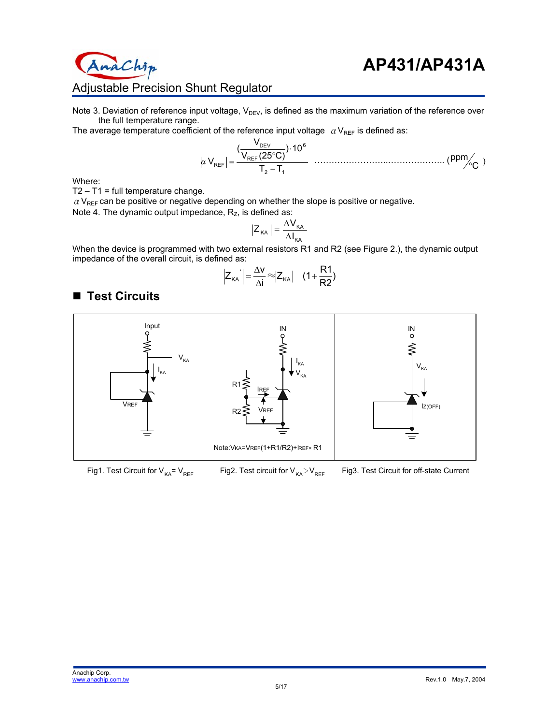

# Adjustable Precision Shunt Regulator

Note 3. Deviation of reference input voltage,  $V_{DEV}$ , is defined as the maximum variation of the reference over the full temperature range.

The average temperature coefficient of the reference input voltage  $\alpha V_{REF}$  is defined as:

2 1 6 REF DEV REF T T ) 10 V (25 C) <sup>V</sup> ( <sup>V</sup> <sup>−</sup> <sup>⋅</sup> ° *<sup>α</sup>* <sup>=</sup> ……………………..……………….. ( ) <sup>C</sup> ppm°

Where:

 $T2 - T1 = full temperature change.$ 

naChip

■ Test Circuits

 $\alpha$  V<sub>REF</sub> can be positive or negative depending on whether the slope is positive or negative.

Note 4. The dynamic output impedance, 
$$
R_z
$$
, is defined as:

$$
Z_{\kappa A} = \frac{\Delta V_{\kappa A}}{\Delta I_{\kappa A}}
$$

When the device is programmed with two external resistors R1 and R2 (see Figure 2.), the dynamic output impedance of the overall circuit, is defined as:

$$
\left|Z_{\kappa A}\right| = \frac{\Delta v}{\Delta i} \approx Z_{\kappa A} \left| \quad (1 + \frac{R1}{R2}) \right|
$$



Fig1. Test Circuit for  $V_{KA} = V_{REF}$ 

Fig2. Test circuit for  $V_{KA} > V_{REF}$ 

Fig3. Test Circuit for off-state Current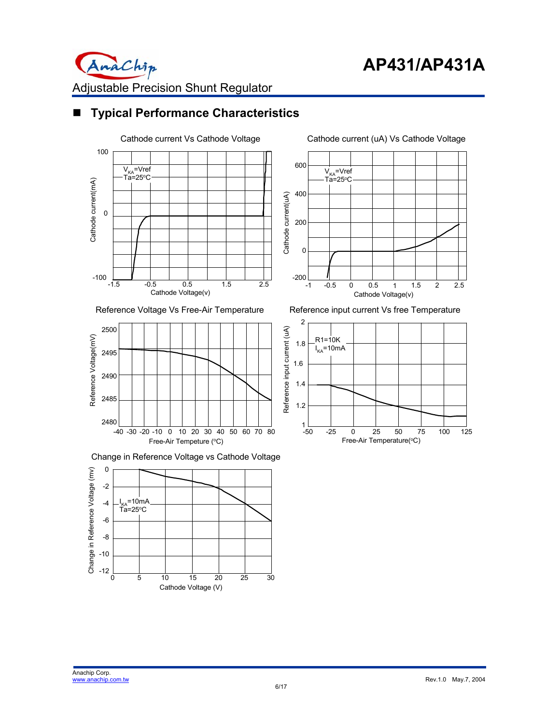

## **Typical Performance Characteristics**



#### Reference Voltage Vs Free-Air Temperature











Reference input current Vs free Temperature

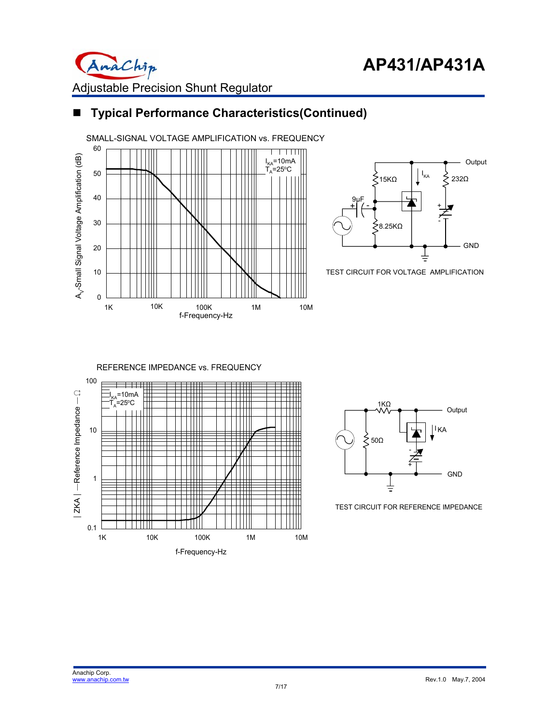

# ■ **Typical Performance Characteristics(Continued)**





TEST CIRCUIT FOR VOLTAGE AMPLIFICATION





TEST CIRCUIT FOR REFERENCE IMPEDANCE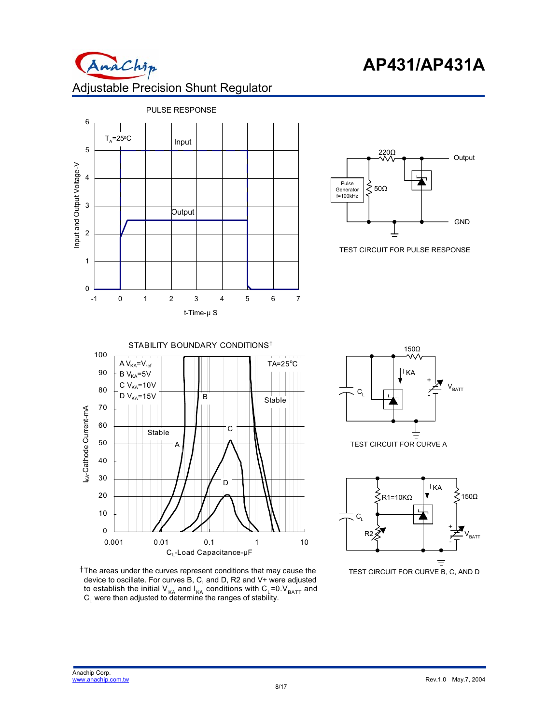











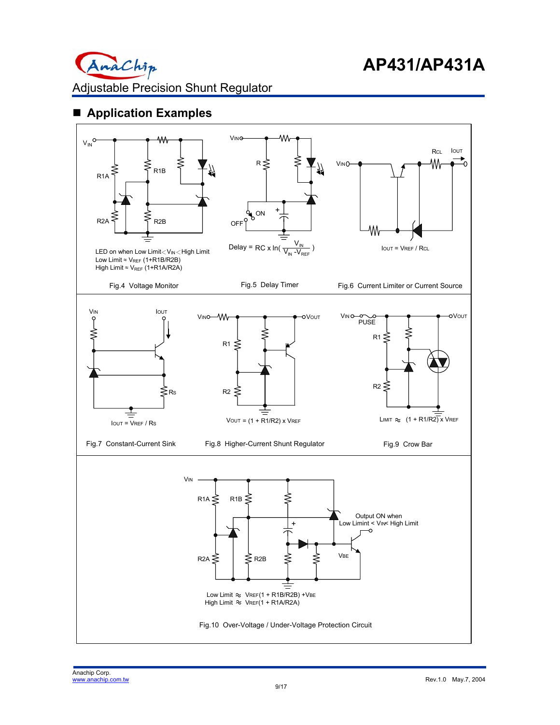

## **Application Examples**

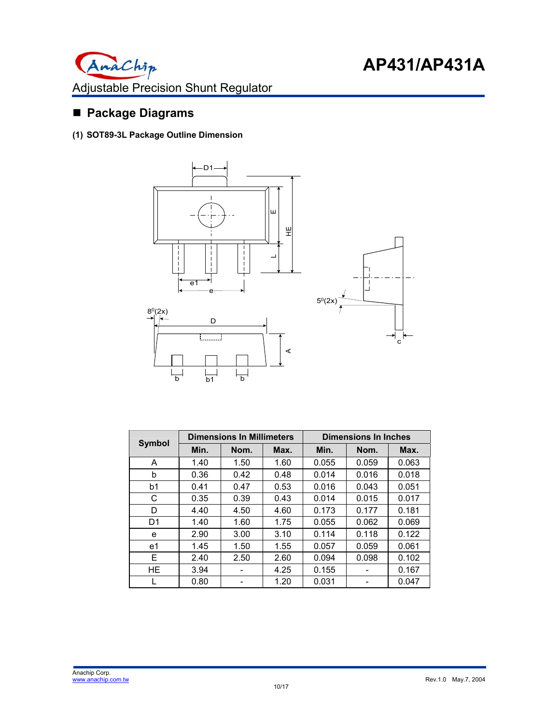

## **Package Diagrams**

**(1) SOT89-3L Package Outline Dimension** 



| <b>Symbol</b> |      | <b>Dimensions In Millimeters</b> |      | <b>Dimensions In Inches</b> |       |       |  |
|---------------|------|----------------------------------|------|-----------------------------|-------|-------|--|
|               | Min. | Nom.                             | Max. | Min.                        | Nom.  | Max.  |  |
| A             | 1.40 | 1.50                             | 1.60 | 0.055                       | 0.059 | 0.063 |  |
| b             | 0.36 | 0.42                             | 0.48 | 0.014                       | 0.016 | 0.018 |  |
| b1            | 0.41 | 0.47                             | 0.53 | 0.016                       | 0.043 | 0.051 |  |
| С             | 0.35 | 0.39                             | 0.43 | 0.014                       | 0.015 | 0.017 |  |
| D             | 4.40 | 4.50                             | 4.60 | 0.173                       | 0.177 | 0.181 |  |
| D1            | 1.40 | 1.60                             | 1.75 | 0.055                       | 0.062 | 0.069 |  |
| e             | 2.90 | 3.00                             | 3.10 | 0.114                       | 0.118 | 0.122 |  |
| e1            | 1.45 | 1.50                             | 1.55 | 0.057                       | 0.059 | 0.061 |  |
| E.            | 2.40 | 2.50                             | 2.60 | 0.094                       | 0.098 | 0.102 |  |
| HE            | 3.94 |                                  | 4.25 | 0.155                       |       | 0.167 |  |
|               | 0.80 |                                  | 1.20 | 0.031                       |       | 0.047 |  |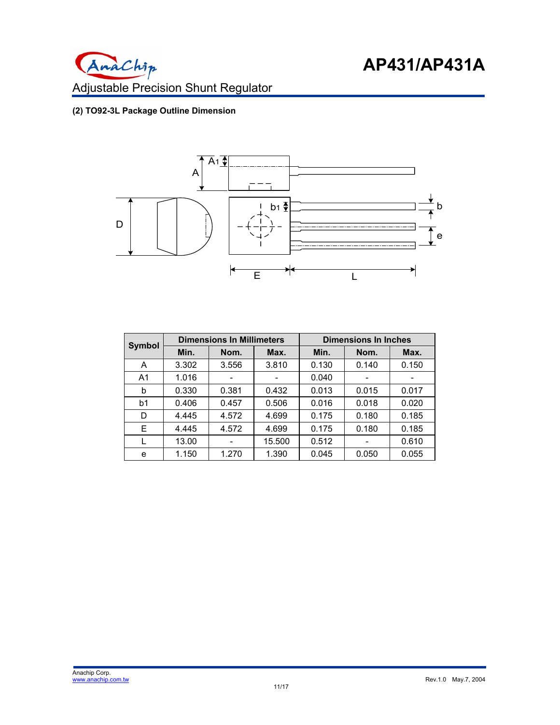

## **(2) TO92-3L Package Outline Dimension**



| <b>Symbol</b>  |       | <b>Dimensions In Millimeters</b> |        | <b>Dimensions In Inches</b> |       |       |
|----------------|-------|----------------------------------|--------|-----------------------------|-------|-------|
|                | Min.  | Nom.                             | Max.   | Min.                        | Nom.  | Max.  |
| A              | 3.302 | 3.556                            | 3.810  | 0.130                       | 0.140 | 0.150 |
| A <sub>1</sub> | 1.016 |                                  |        | 0.040                       |       |       |
| b              | 0.330 | 0.381                            | 0.432  | 0.013                       | 0.015 | 0.017 |
| b1             | 0.406 | 0.457                            | 0.506  | 0.016                       | 0.018 | 0.020 |
| D              | 4.445 | 4.572                            | 4.699  | 0.175                       | 0.180 | 0.185 |
| Е              | 4.445 | 4.572                            | 4.699  | 0.175                       | 0.180 | 0.185 |
|                | 13.00 |                                  | 15.500 | 0.512                       | ۰     | 0.610 |
| e              | 1.150 | 1.270                            | 1.390  | 0.045                       | 0.050 | 0.055 |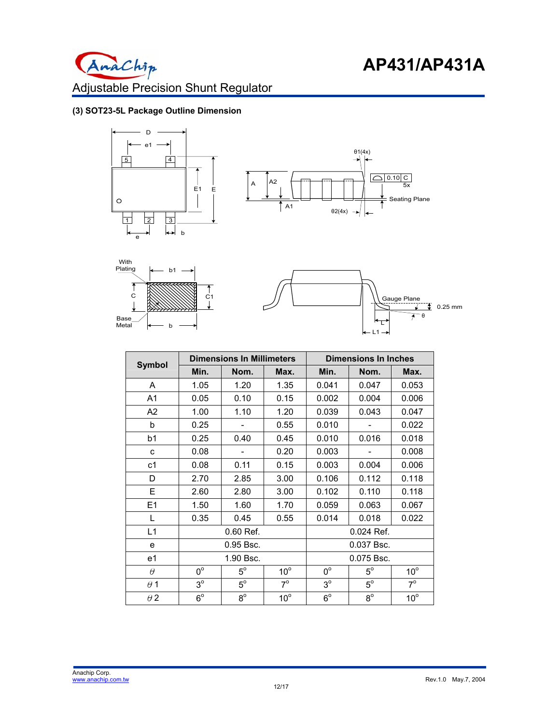

#### **(3) SOT23-5L Package Outline Dimension**









|                |             | <b>Dimensions In Millimeters</b> |              | <b>Dimensions In Inches</b> |             |              |
|----------------|-------------|----------------------------------|--------------|-----------------------------|-------------|--------------|
| <b>Symbol</b>  | Min.        | Nom.                             | Max.         | Min.                        | Nom.        | Max.         |
| A              | 1.05        | 1.20                             | 1.35         | 0.041                       | 0.047       | 0.053        |
| A1             | 0.05        | 0.10                             | 0.15         | 0.002                       | 0.004       | 0.006        |
| A2             | 1.00        | 1.10                             | 1.20         | 0.039                       | 0.043       | 0.047        |
| b              | 0.25        |                                  | 0.55         | 0.010                       |             | 0.022        |
| b1             | 0.25        | 0.40                             | 0.45         | 0.010                       | 0.016       | 0.018        |
| c              | 0.08        |                                  | 0.20         | 0.003                       |             | 0.008        |
| c1             | 0.08        | 0.11                             | 0.15         | 0.003                       | 0.004       | 0.006        |
| D              | 2.70        | 2.85                             | 3.00         | 0.106                       | 0.112       | 0.118        |
| Е              | 2.60        | 2.80                             | 3.00         | 0.102                       | 0.110       | 0.118        |
| E <sub>1</sub> | 1.50        | 1.60                             | 1.70         | 0.059                       | 0.063       | 0.067        |
| L              | 0.35        | 0.45                             | 0.55         | 0.014                       | 0.018       | 0.022        |
| L1             |             | 0.60 Ref.                        |              |                             | 0.024 Ref.  |              |
| e              |             | 0.95 Bsc.                        |              | 0.037 Bsc.                  |             |              |
| e1             | 1.90 Bsc.   |                                  |              | 0.075 Bsc.                  |             |              |
| $\theta$       | $0^{\circ}$ | $5^{\circ}$                      | $10^{\circ}$ | $0^{\circ}$                 | $5^{\circ}$ | $10^{\circ}$ |
| $\theta$ 1     | $3^{\circ}$ | $5^{\circ}$                      | $7^\circ$    | $3^{\circ}$                 | $5^\circ$   | $7^\circ$    |
| $\theta$ 2     | $6^{\circ}$ | $8^{\circ}$                      | $10^{\circ}$ | $6^{\circ}$                 | $8^\circ$   | $10^{\circ}$ |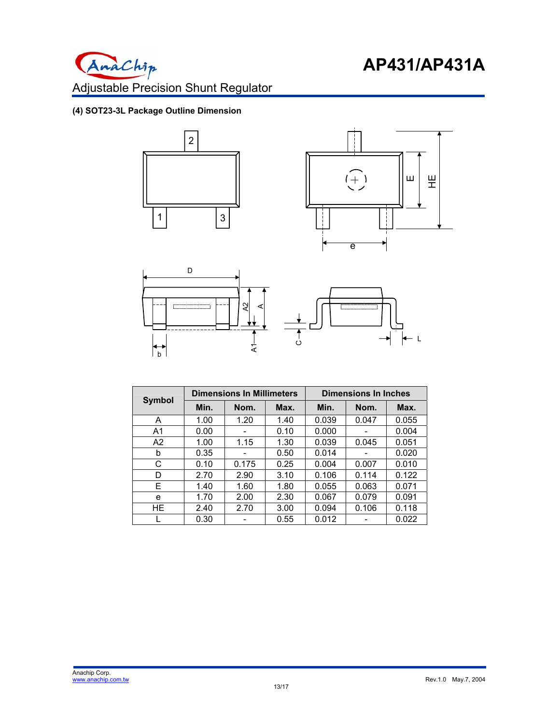

### **(4) SOT23-3L Package Outline Dimension**







| <b>Symbol</b>  |      | <b>Dimensions In Millimeters</b> |      | Dimensions In Inches |       |       |
|----------------|------|----------------------------------|------|----------------------|-------|-------|
|                | Min. | Nom.                             | Max. | Min.                 | Nom.  | Max.  |
| A              | 1.00 | 1.20                             | 1.40 | 0.039                | 0.047 | 0.055 |
| A <sub>1</sub> | 0.00 |                                  | 0.10 | 0.000                |       | 0.004 |
| A2             | 1.00 | 1.15                             | 1.30 | 0.039                | 0.045 | 0.051 |
| b              | 0.35 |                                  | 0.50 | 0.014                |       | 0.020 |
| C              | 0.10 | 0.175                            | 0.25 | 0.004                | 0.007 | 0.010 |
| D              | 2.70 | 2.90                             | 3.10 | 0.106                | 0.114 | 0.122 |
| Е              | 1.40 | 1.60                             | 1.80 | 0.055                | 0.063 | 0.071 |
| e              | 1.70 | 2.00                             | 2.30 | 0.067                | 0.079 | 0.091 |
| HE.            | 2.40 | 2.70                             | 3.00 | 0.094                | 0.106 | 0.118 |
|                | 0.30 |                                  | 0.55 | 0.012                |       | 0.022 |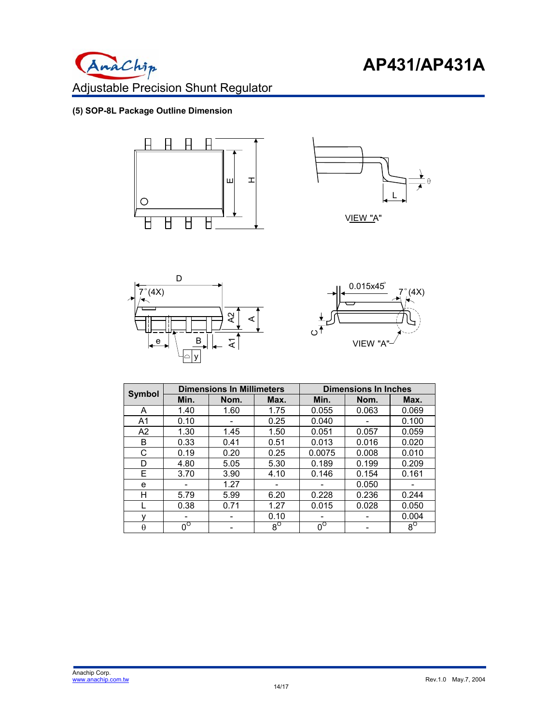

#### **(5) SOP-8L Package Outline Dimension**









|                | <b>Dimensions In Millimeters</b> |      |           | <b>Dimensions In Inches</b> |       |           |
|----------------|----------------------------------|------|-----------|-----------------------------|-------|-----------|
| <b>Symbol</b>  | Min.                             | Nom. | Max.      | Min.                        | Nom.  | Max.      |
| A              | 1.40                             | 1.60 | 1.75      | 0.055                       | 0.063 | 0.069     |
| A <sub>1</sub> | 0.10                             |      | 0.25      | 0.040                       |       | 0.100     |
| A <sub>2</sub> | 1.30                             | 1.45 | 1.50      | 0.051                       | 0.057 | 0.059     |
| B              | 0.33                             | 0.41 | 0.51      | 0.013                       | 0.016 | 0.020     |
| C              | 0.19                             | 0.20 | 0.25      | 0.0075                      | 0.008 | 0.010     |
| D              | 4.80                             | 5.05 | 5.30      | 0.189                       | 0.199 | 0.209     |
| E.             | 3.70                             | 3.90 | 4.10      | 0.146                       | 0.154 | 0.161     |
| e              |                                  | 1.27 |           |                             | 0.050 |           |
| н              | 5.79                             | 5.99 | 6.20      | 0.228                       | 0.236 | 0.244     |
|                | 0.38                             | 0.71 | 1.27      | 0.015                       | 0.028 | 0.050     |
|                |                                  |      | 0.10      |                             |       | 0.004     |
| $\theta$       | $0^{\circ}$                      |      | $8^\circ$ | $0^{\circ}$                 |       | $8^\circ$ |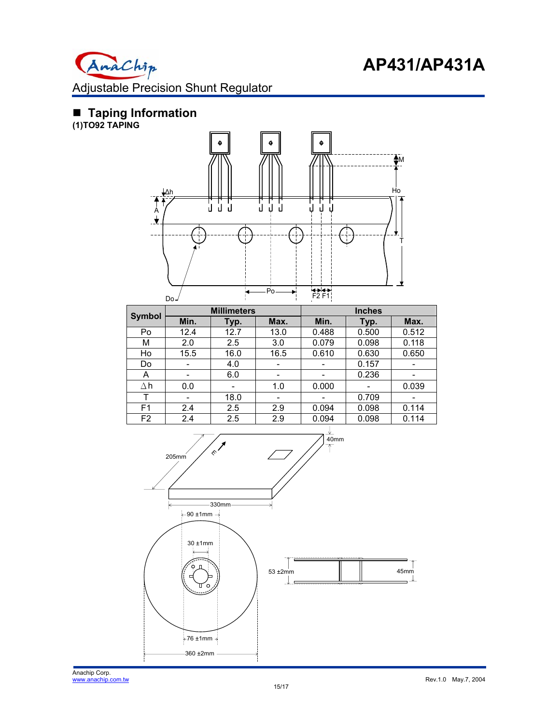

### **Taping Information**

**(1)TO92 TAPING** 



|                |      | <b>Millimeters</b> |      | <b>Inches</b> |       |       |
|----------------|------|--------------------|------|---------------|-------|-------|
| <b>Symbol</b>  | Min. | Typ.               | Max. | Min.          | Typ.  | Max.  |
| Po             | 12.4 | 12.7               | 13.0 | 0.488         | 0.500 | 0.512 |
| М              | 2.0  | 2.5                | 3.0  | 0.079         | 0.098 | 0.118 |
| Ho             | 15.5 | 16.0               | 16.5 | 0.610         | 0.630 | 0.650 |
| Do             |      | 4.0                |      |               | 0.157 |       |
| A              | -    | 6.0                | -    |               | 0.236 |       |
| Δh             | 0.0  |                    | 1.0  | 0.000         |       | 0.039 |
| т              |      | 18.0               |      |               | 0.709 |       |
| F <sub>1</sub> | 2.4  | 2.5                | 2.9  | 0.094         | 0.098 | 0.114 |
| F <sub>2</sub> | 2.4  | 2.5                | 2.9  | 0.094         | 0.098 | 0.114 |

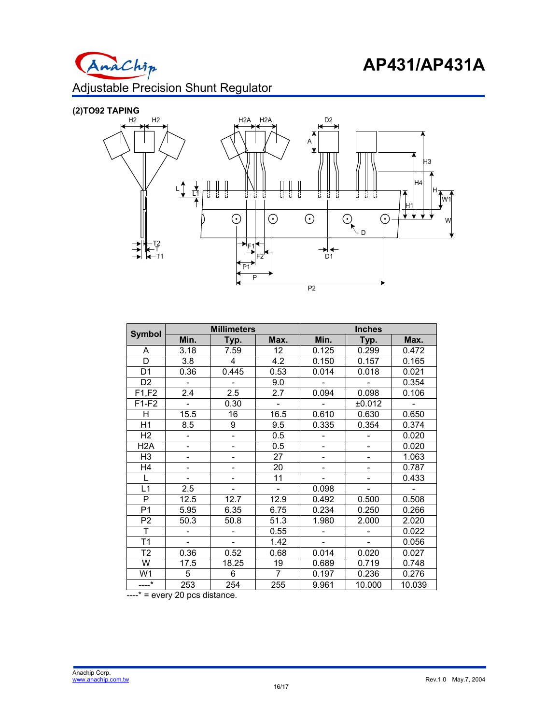

Adjustable Precision Shunt Regulator

# **(2)TO92 TAPING**



|                | <b>Millimeters</b> |       |                          | <b>Inches</b>  |                |        |  |
|----------------|--------------------|-------|--------------------------|----------------|----------------|--------|--|
| Symbol         | Min.               | Typ.  | Max.                     | Min.           | Typ.           | Max.   |  |
| A              | 3.18               | 7.59  | 12                       | 0.125          | 0.299          | 0.472  |  |
| D              | 3.8                | 4     | 4.2                      | 0.150          | 0.157          | 0.165  |  |
| D <sub>1</sub> | 0.36               | 0.445 | 0.53                     | 0.014          | 0.018          | 0.021  |  |
| D <sub>2</sub> |                    |       | 9.0                      |                |                | 0.354  |  |
| F1,F2          | 2.4                | 2.5   | 2.7                      | 0.094          | 0.098          | 0.106  |  |
| $F1-F2$        | $\overline{a}$     | 0.30  | $\overline{a}$           |                | ±0.012         |        |  |
| Н              | 15.5               | 16    | 16.5                     | 0.610          | 0.630          | 0.650  |  |
| H1             | 8.5                | 9     | 9.5                      | 0.335          | 0.354          | 0.374  |  |
| H2             |                    |       | 0.5                      |                |                | 0.020  |  |
| H2A            | ÷,                 |       | 0.5                      | $\overline{a}$ |                | 0.020  |  |
| H <sub>3</sub> |                    |       | 27                       |                |                | 1.063  |  |
| H4             | ÷,                 |       | 20                       |                | $\overline{a}$ | 0.787  |  |
| L              |                    |       | 11                       |                |                | 0.433  |  |
| L1             | 2.5                |       | $\overline{\phantom{0}}$ | 0.098          |                |        |  |
| P              | 12.5               | 12.7  | 12.9                     | 0.492          | 0.500          | 0.508  |  |
| P <sub>1</sub> | 5.95               | 6.35  | 6.75                     | 0.234          | 0.250          | 0.266  |  |
| P <sub>2</sub> | 50.3               | 50.8  | 51.3                     | 1.980          | 2.000          | 2.020  |  |
| T              |                    |       | 0.55                     |                |                | 0.022  |  |
| T1             |                    |       | 1.42                     |                |                | 0.056  |  |
| T2             | 0.36               | 0.52  | 0.68                     | 0.014          | 0.020          | 0.027  |  |
| W              | 17.5               | 18.25 | 19                       | 0.689          | 0.719          | 0.748  |  |
| W1             | 5                  | 6     | $\overline{7}$           | 0.197          | 0.236          | 0.276  |  |
| $---*$         | 253                | 254   | 255                      | 9.961          | 10.000         | 10.039 |  |

 $---*$  = every 20 pcs distance.